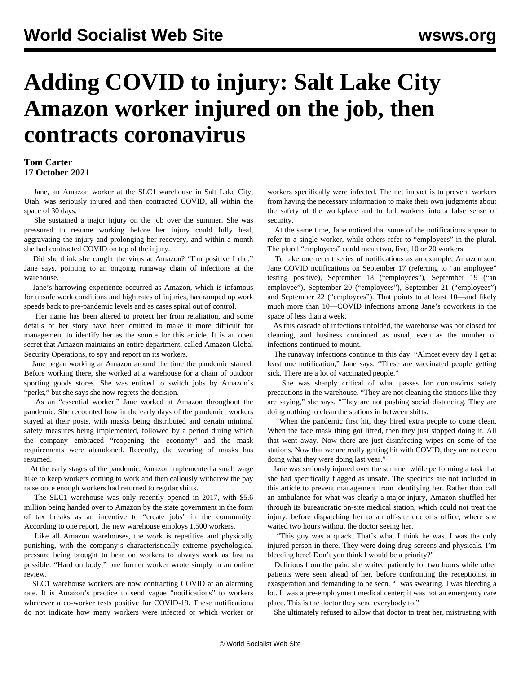## **Adding COVID to injury: Salt Lake City Amazon worker injured on the job, then contracts coronavirus**

## **Tom Carter 17 October 2021**

 Jane, an Amazon worker at the SLC1 warehouse in Salt Lake City, Utah, was seriously injured and then contracted COVID, all within the space of 30 days.

 She sustained a major injury on the job over the summer. She was pressured to resume working before her injury could fully heal, aggravating the injury and prolonging her recovery, and within a month she had contracted COVID on top of the injury.

 Did she think she caught the virus at Amazon? "I'm positive I did," Jane says, pointing to an ongoing runaway chain of infections at the warehouse.

 Jane's harrowing experience occurred as Amazon, which is infamous for unsafe work conditions and high rates of injuries, has ramped up work speeds back to pre-pandemic levels and as cases spiral out of control.

 Her name has been altered to protect her from retaliation, and some details of her story have been omitted to make it more difficult for management to identify her as the source for this article. It is an open secret that Amazon maintains an entire department, called [Amazon Global](/en/articles/2020/09/28/amaz-s28.html) [Security Operations](/en/articles/2020/09/28/amaz-s28.html), to spy and report on its workers.

 Jane began working at Amazon around the time the pandemic started. Before working there, she worked at a warehouse for a chain of outdoor sporting goods stores. She was enticed to switch jobs by Amazon's "perks," but she says she now regrets the decision.

 As an "essential worker," Jane worked at Amazon throughout the pandemic. She recounted how in the early days of the pandemic, workers stayed at their posts, with masks being distributed and certain minimal safety measures being implemented, followed by a period during which the company embraced "reopening the economy" and the mask requirements were abandoned. Recently, the wearing of masks has resumed.

 At the early stages of the pandemic, Amazon implemented a small wage hike to keep workers coming to work and then callously withdrew the pay raise once enough workers had returned to regular shifts.

 The SLC1 warehouse was only recently opened in 2017, with \$5.6 million being handed over to Amazon by the state government in the form of tax breaks as an incentive to "create jobs" in the community. According to one report, the new warehouse employs 1,500 workers.

 Like all Amazon warehouses, the work is repetitive and physically punishing, with the company's characteristically extreme psychological pressure being brought to bear on workers to always work as fast as possible. "Hard on body," one former worker wrote simply in an online review.

 SLC1 warehouse workers are now contracting COVID at an alarming rate. It is Amazon's practice to send vague "notifications" to workers whenever a co-worker tests positive for COVID-19. These notifications do not indicate how many workers were infected or which worker or

workers specifically were infected. The net impact is to prevent workers from having the necessary information to make their own judgments about the safety of the workplace and to lull workers into a false sense of security.

 At the same time, Jane noticed that some of the notifications appear to refer to a single worker, while others refer to "employees" in the plural. The plural "employees" could mean two, five, 10 or 20 workers.

 To take one recent series of notifications as an example, Amazon sent Jane COVID notifications on September 17 (referring to "an employee" testing positive), September 18 ("employees"), September 19 ("an employee"), September 20 ("employees"), September 21 ("employees") and September 22 ("employees"). That points to at least 10—and likely much more than 10—COVID infections among Jane's coworkers in the space of less than a week.

 As this cascade of infections unfolded, the warehouse was not closed for cleaning, and business continued as usual, even as the number of infections continued to mount.

 The runaway infections continue to this day. "Almost every day I get at least one notification," Jane says. "These are vaccinated people getting sick. There are a lot of vaccinated people."

 She was sharply critical of what passes for coronavirus safety precautions in the warehouse. "They are not cleaning the stations like they are saying," she says. "They are not pushing social distancing. They are doing nothing to clean the stations in between shifts.

 "When the pandemic first hit, they hired extra people to come clean. When the face mask thing got lifted, then they just stopped doing it. All that went away. Now there are just disinfecting wipes on some of the stations. Now that we are really getting hit with COVID, they are not even doing what they were doing last year."

 Jane was seriously injured over the summer while performing a task that she had specifically flagged as unsafe. The specifics are not included in this article to prevent management from identifying her. Rather than call an ambulance for what was clearly a major injury, Amazon shuffled her through its bureaucratic on-site medical station, which could not treat the injury, before dispatching her to an off-site doctor's office, where she waited two hours without the doctor seeing her.

 "This guy was a quack. That's what I think he was. I was the only injured person in there. They were doing drug screens and physicals. I'm bleeding here! Don't you think I would be a priority?"

 Delirious from the pain, she waited patiently for two hours while other patients were seen ahead of her, before confronting the receptionist in exasperation and demanding to be seen. "I was swearing. I was bleeding a lot. It was a pre-employment medical center; it was not an emergency care place. This is the doctor they send everybody to."

She ultimately refused to allow that doctor to treat her, mistrusting with